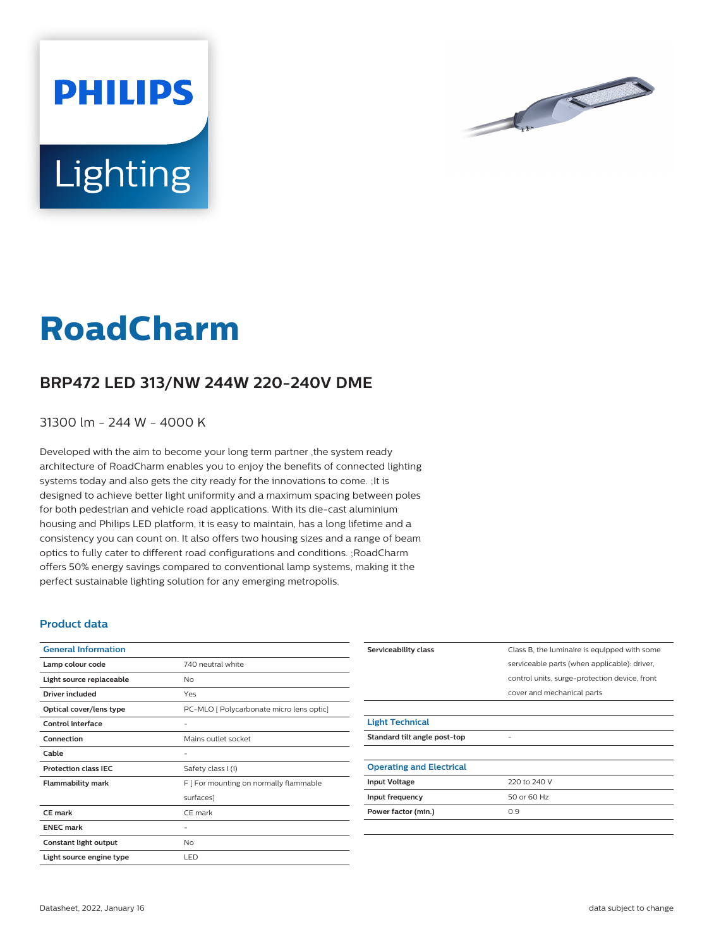



# **RoadCharm**

## **BRP472 LED 313/NW 244W 220-240V DME**

### 31300 lm - 244 W - 4000 K

Developed with the aim to become your long term partner ,the system ready architecture of RoadCharm enables you to enjoy the benefits of connected lighting systems today and also gets the city ready for the innovations to come. ;It is designed to achieve better light uniformity and a maximum spacing between poles for both pedestrian and vehicle road applications. With its die-cast aluminium housing and Philips LED platform, it is easy to maintain, has a long lifetime and a consistency you can count on. It also offers two housing sizes and a range of beam optics to fully cater to different road configurations and conditions. ;RoadCharm offers 50% energy savings compared to conventional lamp systems, making it the perfect sustainable lighting solution for any emerging metropolis.

#### **Product data**

| <b>General Information</b>  |                                          |
|-----------------------------|------------------------------------------|
| Lamp colour code            | 740 neutral white                        |
| Light source replaceable    | No                                       |
| Driver included             | Yes                                      |
| Optical cover/lens type     | PC-MLO [ Polycarbonate micro lens optic] |
| Control interface           |                                          |
| Connection                  | Mains outlet socket                      |
| Cable                       |                                          |
| <b>Protection class IEC</b> | Safety class I (I)                       |
| <b>Flammability mark</b>    | F [ For mounting on normally flammable   |
|                             | surfaces]                                |
| CE mark                     | CE mark                                  |
| <b>ENEC mark</b>            |                                          |
| Constant light output       | No                                       |
| Light source engine type    | LED                                      |

| Serviceability class            | Class B, the luminaire is equipped with some  |
|---------------------------------|-----------------------------------------------|
|                                 | serviceable parts (when applicable): driver,  |
|                                 | control units, surge-protection device, front |
|                                 | cover and mechanical parts                    |
|                                 |                                               |
| <b>Light Technical</b>          |                                               |
| Standard tilt angle post-top    |                                               |
|                                 |                                               |
| <b>Operating and Electrical</b> |                                               |
| <b>Input Voltage</b>            | 220 to 240 V                                  |
| Input frequency                 | 50 or 60 Hz                                   |
| Power factor (min.)             | 0.9                                           |
|                                 |                                               |